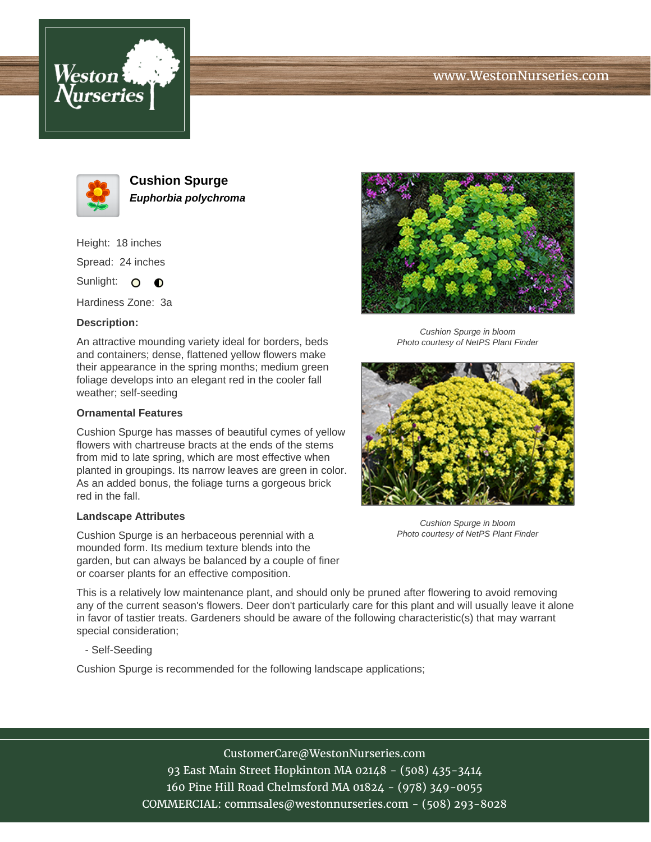





**Cushion Spurge Euphorbia polychroma**

Height: 18 inches Spread: 24 inches Sunlight: O **O** 

Hardiness Zone: 3a

## **Description:**

An attractive mounding variety ideal for borders, beds and containers; dense, flattened yellow flowers make their appearance in the spring months; medium green foliage develops into an elegant red in the cooler fall weather; self-seeding

## **Ornamental Features**

Cushion Spurge has masses of beautiful cymes of yellow flowers with chartreuse bracts at the ends of the stems from mid to late spring, which are most effective when planted in groupings. Its narrow leaves are green in color. As an added bonus, the foliage turns a gorgeous brick red in the fall.

## **Landscape Attributes**

Cushion Spurge is an herbaceous perennial with a mounded form. Its medium texture blends into the garden, but can always be balanced by a couple of finer or coarser plants for an effective composition.

This is a relatively low maintenance plant, and should only be pruned after flowering to avoid removing any of the current season's flowers. Deer don't particularly care for this plant and will usually leave it alone in favor of tastier treats. Gardeners should be aware of the following characteristic(s) that may warrant special consideration;

- Self-Seeding

Cushion Spurge is recommended for the following landscape applications;



Cushion Spurge in bloom Photo courtesy of NetPS Plant Finder



Cushion Spurge in bloom Photo courtesy of NetPS Plant Finder

CustomerCare@WestonNurseries.com 93 East Main Street Hopkinton MA 02148 - (508) 435-3414 160 Pine Hill Road Chelmsford MA 01824 - (978) 349-0055 COMMERCIAL: commsales@westonnurseries.com - (508) 293-8028